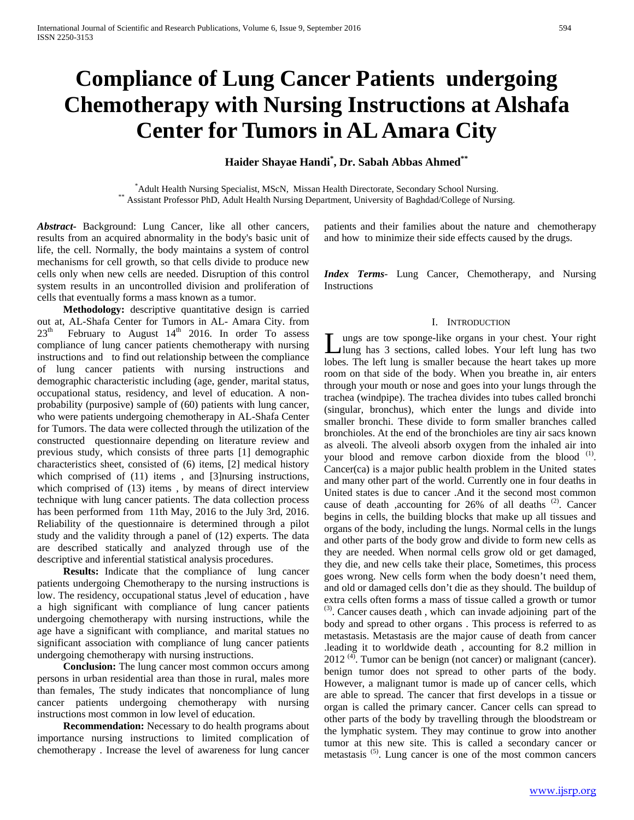# **Compliance of Lung Cancer Patients undergoing Chemotherapy with Nursing Instructions at Alshafa Center for Tumors in AL Amara City**

**Haider Shayae Handi\* , Dr. Sabah Abbas Ahmed\*\***

\*Adult Health Nursing Specialist, MScN, Missan Health Directorate, Secondary School Nursing. \*\* Assistant Professor PhD, Adult Health Nursing Department, University of Baghdad/College of Nursing.

*Abstract***-** Background: Lung Cancer, like all other cancers, results from an acquired abnormality in the body's basic unit of life, the cell. Normally, the body maintains a system of control mechanisms for cell growth, so that cells divide to produce new cells only when new cells are needed. Disruption of this control system results in an uncontrolled division and proliferation of cells that eventually forms a mass known as a tumor.

 **Methodology:** descriptive quantitative design is carried out at, AL-Shafa Center for Tumors in AL- Amara City. from  $23<sup>th</sup>$ February to August 14<sup>th</sup> 2016. In order To assess compliance of lung cancer patients chemotherapy with nursing instructions and to find out relationship between the compliance of lung cancer patients with nursing instructions and demographic characteristic including (age, gender, marital status, occupational status, residency, and level of education. A nonprobability (purposive) sample of (60) patients with lung cancer, who were patients undergoing chemotherapy in AL-Shafa Center for Tumors. The data were collected through the utilization of the constructed questionnaire depending on literature review and previous study, which consists of three parts [1] demographic characteristics sheet, consisted of (6) items, [2] medical history which comprised of  $(11)$  items, and [3] nursing instructions, which comprised of (13) items , by means of direct interview technique with lung cancer patients. The data collection process has been performed from 11th May, 2016 to the July 3rd, 2016. Reliability of the questionnaire is determined through a pilot study and the validity through a panel of (12) experts. The data are described statically and analyzed through use of the descriptive and inferential statistical analysis procedures.

 **Results:** Indicate that the compliance of lung cancer patients undergoing Chemotherapy to the nursing instructions is low. The residency, occupational status ,level of education , have a high significant with compliance of lung cancer patients undergoing chemotherapy with nursing instructions, while the age have a significant with compliance, and marital statues no significant association with compliance of lung cancer patients undergoing chemotherapy with nursing instructions.

 **Conclusion:** The lung cancer most common occurs among persons in urban residential area than those in rural, males more than females, The study indicates that noncompliance of lung cancer patients undergoing chemotherapy with nursing instructions most common in low level of education.

 **Recommendation:** Necessary to do health programs about importance nursing instructions to limited complication of chemotherapy . Increase the level of awareness for lung cancer

patients and their families about the nature and chemotherapy and how to minimize their side effects caused by the drugs.

*Index Terms*- Lung Cancer, Chemotherapy, and Nursing **Instructions** 

#### I. INTRODUCTION

ungs are tow sponge-like organs in your chest. Your right lung has 3 sections, called lobes. Your left lung has two **L**ungs are tow sponge-like organs in your chest. Your right lung has 3 sections, called lobes. Your left lung has two lobes. The left lung is smaller because the heart takes up more room on that side of the body. When you breathe in, air enters through your mouth or nose and goes into your lungs through the trachea (windpipe). The trachea divides into tubes called bronchi (singular, bronchus), which enter the lungs and divide into smaller bronchi. These divide to form smaller branches called bronchioles. At the end of the bronchioles are tiny air sacs known as alveoli. The alveoli absorb oxygen from the inhaled air into your blood and remove carbon dioxide from the blood <sup>(1)</sup>. Cancer(ca) is a major public health problem in the United states and many other part of the world. Currently one in four deaths in United states is due to cancer .And it the second most common cause of death ,accounting for 26% of all deaths <sup>(2)</sup>. Cancer begins in cells, the building blocks that make up all tissues and organs of the body, including the lungs. Normal cells in the lungs and other parts of the body grow and divide to form new cells as they are needed. When normal cells grow old or get damaged, they die, and new cells take their place, Sometimes, this process goes wrong. New cells form when the body doesn't need them, and old or damaged cells don't die as they should. The buildup of extra cells often forms a mass of tissue called a growth or tumor  $P$ <sup>(3)</sup>. Cancer causes death , which can invade adjoining part of the body and spread to other organs . This process is referred to as metastasis. Metastasis are the major cause of death from cancer .leading it to worldwide death , accounting for 8.2 million in 2012<sup>(4)</sup>. Tumor can be benign (not cancer) or malignant (cancer). benign tumor does not spread to other parts of the body. However, a malignant tumor is made up of cancer cells, which are able to spread. The cancer that first develops in a tissue or organ is called the primary cancer. Cancer cells can spread to other parts of the body by travelling through the bloodstream or the lymphatic system. They may continue to grow into another tumor at this new site. This is called a secondary cancer or metastasis<sup>(5)</sup>. Lung cancer is one of the most common cancers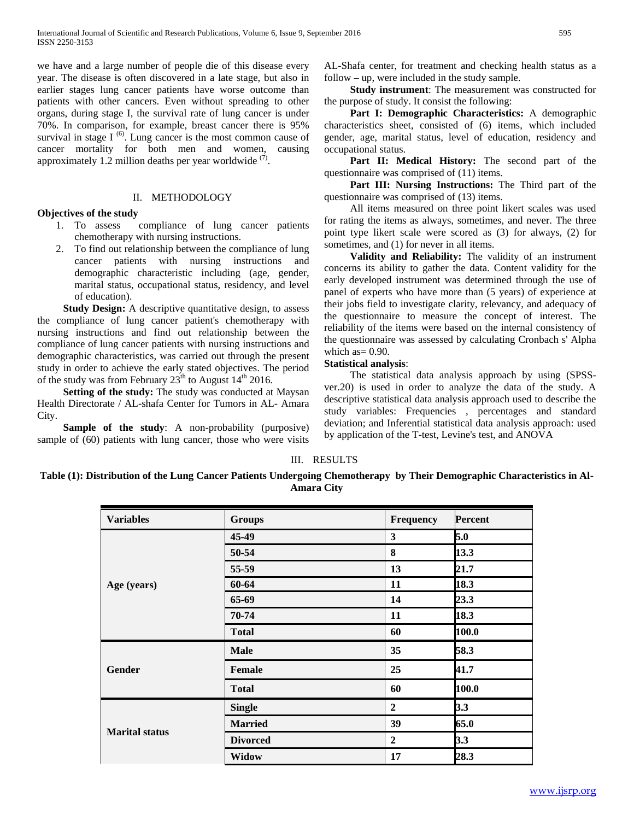we have and a large number of people die of this disease every year. The disease is often discovered in a late stage, but also in earlier stages lung cancer patients have worse outcome than patients with other cancers. Even without spreading to other organs, during stage I, the survival rate of lung cancer is under 70%. In comparison, for example, breast cancer there is 95% survival in stage  $I^{(6)}$ . Lung cancer is the most common cause of cancer mortality for both men and women, causing approximately 1.2 million deaths per year worldwide  $(7)$ .

#### II. METHODOLOGY

#### **Objectives of the study**

- 1. To assess compliance of lung cancer patients chemotherapy with nursing instructions.
- 2. To find out relationship between the compliance of lung cancer patients with nursing instructions and demographic characteristic including (age, gender, marital status, occupational status, residency, and level of education).

**Study Design:** A descriptive quantitative design, to assess the compliance of lung cancer patient's chemotherapy with nursing instructions and find out relationship between the compliance of lung cancer patients with nursing instructions and demographic characteristics, was carried out through the present study in order to achieve the early stated objectives. The period of the study was from February  $23^{th}$  to August  $14^{th}$  2016.

 **Setting of the study:** The study was conducted at Maysan Health Directorate / AL-shafa Center for Tumors in AL- Amara City.

**Sample of the study:** A non-probability (purposive) sample of (60) patients with lung cancer, those who were visits AL-Shafa center, for treatment and checking health status as a follow – up, were included in the study sample.

 **Study instrument**: The measurement was constructed for the purpose of study. It consist the following:

 **Part I: Demographic Characteristics:** A demographic characteristics sheet, consisted of (6) items, which included gender, age, marital status, level of education, residency and occupational status.

 **Part II: Medical History:** The second part of the questionnaire was comprised of (11) items.

 **Part III: Nursing Instructions:** The Third part of the questionnaire was comprised of (13) items.

All items measured on three point likert scales was used for rating the items as always, sometimes, and never. The three point type likert scale were scored as (3) for always, (2) for sometimes, and (1) for never in all items.

 **Validity and Reliability:** The validity of an instrument concerns its ability to gather the data. Content validity for the early developed instrument was determined through the use of panel of experts who have more than (5 years) of experience at their jobs field to investigate clarity, relevancy, and adequacy of the questionnaire to measure the concept of interest. The reliability of the items were based on the internal consistency of the questionnaire was assessed by calculating Cronbach s' Alpha which  $as = 0.90$ .

#### **Statistical analysis**:

The statistical data analysis approach by using (SPSSver.20) is used in order to analyze the data of the study. A descriptive statistical data analysis approach used to describe the study variables: Frequencies , percentages and standard deviation; and Inferential statistical data analysis approach: used by application of the T-test, Levine's test, and ANOVA

# III. RESULTS

**Table (1): Distribution of the Lung Cancer Patients Undergoing Chemotherapy by Their Demographic Characteristics in Al-Amara City**

| <b>Variables</b>      | <b>Groups</b>   | Frequency        | <b>Percent</b> |
|-----------------------|-----------------|------------------|----------------|
|                       | 45-49           | 3                | 5.0            |
|                       | 50-54           | 8                | 13.3           |
|                       | 55-59           | 13               | 21.7           |
| Age (years)           | 60-64           | 11               | 18.3           |
|                       | 65-69           | 14               | 23.3           |
|                       | 70-74           | 11               | 18.3           |
|                       | <b>Total</b>    | 60               | 100.0          |
| Gender                | <b>Male</b>     | 35               | 58.3           |
|                       | <b>Female</b>   | 25               | 41.7           |
|                       | <b>Total</b>    | 60               | 100.0          |
| <b>Marital status</b> | <b>Single</b>   | $\boldsymbol{2}$ | 3.3            |
|                       | <b>Married</b>  | 39               | 65.0           |
|                       | <b>Divorced</b> | $\boldsymbol{2}$ | 3.3            |
|                       | <b>Widow</b>    | 17               | 28.3           |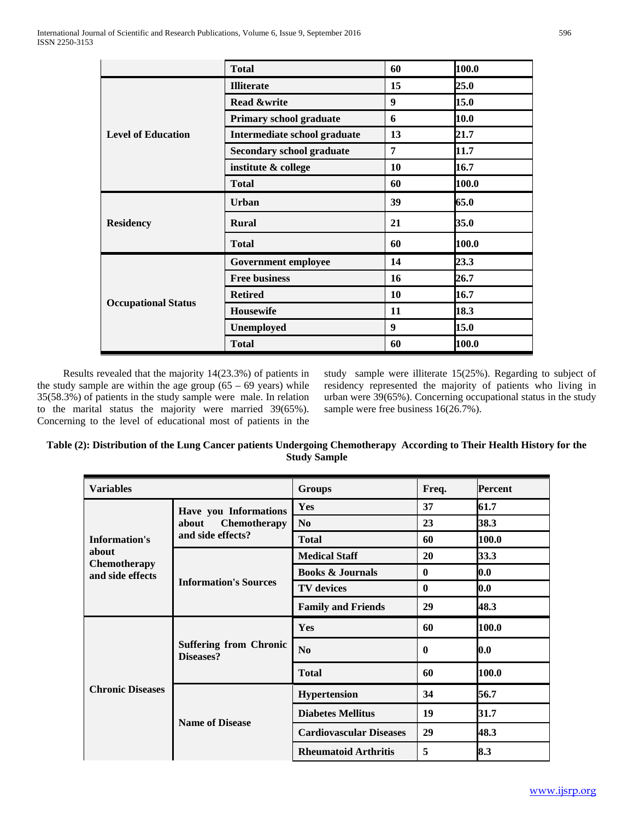|                            | <b>Total</b>                     | 60 | 100.0 |
|----------------------------|----------------------------------|----|-------|
|                            | <b>Illiterate</b>                | 15 | 25.0  |
|                            | <b>Read &amp;write</b>           | 9  | 15.0  |
|                            | Primary school graduate          | 6  | 10.0  |
| <b>Level of Education</b>  | Intermediate school graduate     | 13 | 21.7  |
|                            | <b>Secondary school graduate</b> | 7  | 11.7  |
|                            | institute & college              | 10 | 16.7  |
|                            | <b>Total</b>                     | 60 | 100.0 |
|                            | <b>Urban</b>                     | 39 | 65.0  |
| <b>Residency</b>           | <b>Rural</b>                     | 21 | 35.0  |
|                            | <b>Total</b>                     | 60 | 100.0 |
|                            | <b>Government employee</b>       | 14 | 23.3  |
|                            | <b>Free business</b>             | 16 | 26.7  |
|                            | <b>Retired</b>                   | 10 | 16.7  |
| <b>Occupational Status</b> | Housewife                        | 11 | 18.3  |
|                            | <b>Unemployed</b>                | 9  | 15.0  |
|                            | <b>Total</b>                     | 60 | 100.0 |

Results revealed that the majority 14(23.3%) of patients in the study sample are within the age group  $(65 - 69 \text{ years})$  while 35(58.3%) of patients in the study sample were male. In relation to the marital status the majority were married 39(65%). Concerning to the level of educational most of patients in the study sample were illiterate 15(25%). Regarding to subject of residency represented the majority of patients who living in urban were 39(65%). Concerning occupational status in the study sample were free business 16(26.7%).

| Table (2): Distribution of the Lung Cancer patients Undergoing Chemotherapy According to Their Health History for the |                     |  |
|-----------------------------------------------------------------------------------------------------------------------|---------------------|--|
|                                                                                                                       | <b>Study Sample</b> |  |

| <b>Variables</b>                        |                                            | <b>Groups</b>                  | Freq.        | <b>Percent</b> |
|-----------------------------------------|--------------------------------------------|--------------------------------|--------------|----------------|
|                                         | Have you Informations                      | Yes                            | 37           | 61.7           |
|                                         | Chemotherapy<br>about                      | N <sub>0</sub>                 | 23           | 38.3           |
| <b>Information's</b>                    | and side effects?                          | <b>Total</b>                   | 60           | 100.0          |
| about                                   |                                            | <b>Medical Staff</b>           | 20           | 33.3           |
| <b>Chemotherapy</b><br>and side effects |                                            | <b>Books &amp; Journals</b>    | $\mathbf{0}$ | 0.0            |
|                                         | <b>Information's Sources</b>               | <b>TV</b> devices              | $\bf{0}$     | 0.0            |
|                                         |                                            | <b>Family and Friends</b>      | 29           | 48.3           |
| <b>Chronic Diseases</b>                 |                                            | Yes                            | 60           | 100.0          |
|                                         | <b>Suffering from Chronic</b><br>Diseases? | N <sub>0</sub>                 | $\mathbf{0}$ | 0.0            |
|                                         |                                            | <b>Total</b>                   | 60           | 100.0          |
|                                         |                                            | <b>Hypertension</b>            | 34           | 56.7           |
|                                         | <b>Name of Disease</b>                     | <b>Diabetes Mellitus</b>       | 19           | 31.7           |
|                                         |                                            | <b>Cardiovascular Diseases</b> | 29           | 48.3           |
|                                         |                                            | <b>Rheumatoid Arthritis</b>    | 5            | 8.3            |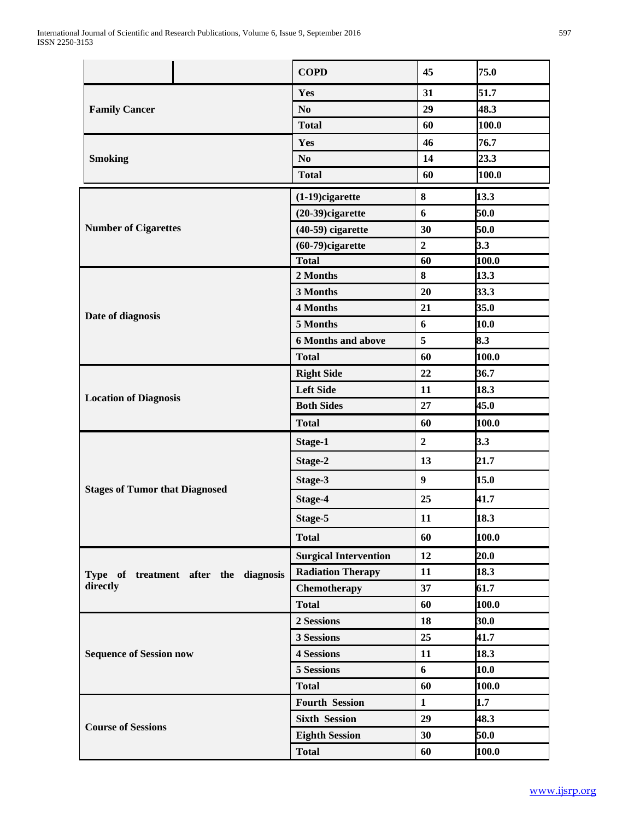|                                       |                                       | <b>COPD</b>                  | 45               | 75.0  |
|---------------------------------------|---------------------------------------|------------------------------|------------------|-------|
|                                       |                                       | Yes                          | 31               | 51.7  |
| <b>Family Cancer</b>                  |                                       | N <sub>0</sub>               | 29               | 48.3  |
|                                       |                                       | <b>Total</b>                 | 60               | 100.0 |
|                                       |                                       | Yes                          | 46               | 76.7  |
| <b>Smoking</b>                        |                                       | N <sub>0</sub>               | 14               | 23.3  |
|                                       |                                       | <b>Total</b>                 | 60               | 100.0 |
|                                       |                                       | $(1-19)$ cigarette           | 8                | 13.3  |
|                                       |                                       | $(20-39)$ cigarette          | 6                | 50.0  |
| <b>Number of Cigarettes</b>           |                                       | $(40-59)$ cigarette          | 30               | 50.0  |
|                                       |                                       | $(60-79)$ cigarette          | $\overline{2}$   | 3.3   |
|                                       |                                       | <b>Total</b>                 | 60               | 100.0 |
|                                       |                                       | 2 Months                     | 8                | 13.3  |
|                                       |                                       | 3 Months                     | 20               | 33.3  |
| Date of diagnosis                     |                                       | 4 Months                     | 21               | 35.0  |
|                                       |                                       | 5 Months                     | 6                | 10.0  |
|                                       |                                       | <b>6 Months and above</b>    | 5                | 8.3   |
|                                       |                                       | <b>Total</b>                 | 60               | 100.0 |
|                                       |                                       | <b>Right Side</b>            | 22               | 36.7  |
|                                       |                                       | <b>Left Side</b>             | 11               | 18.3  |
| <b>Location of Diagnosis</b>          |                                       | <b>Both Sides</b>            | 27               | 45.0  |
|                                       |                                       | <b>Total</b>                 | 60               | 100.0 |
|                                       |                                       | Stage-1                      | $\boldsymbol{2}$ | 3.3   |
| <b>Stages of Tumor that Diagnosed</b> |                                       | Stage-2                      | 13               | 21.7  |
|                                       |                                       | Stage-3                      | $\boldsymbol{9}$ | 15.0  |
|                                       |                                       | Stage-4                      | 25               | 41.7  |
|                                       |                                       | Stage-5                      | 11               | 18.3  |
|                                       |                                       | <b>Total</b>                 | 60               | 100.0 |
|                                       |                                       | <b>Surgical Intervention</b> | 12               | 20.0  |
|                                       | Type of treatment after the diagnosis | <b>Radiation Therapy</b>     | 11               | 18.3  |
| directly                              |                                       | Chemotherapy                 | 37               | 61.7  |
|                                       |                                       | <b>Total</b>                 | 60               | 100.0 |
|                                       |                                       | 2 Sessions                   | 18               | 30.0  |
| <b>Sequence of Session now</b>        |                                       | 3 Sessions                   | 25               | 41.7  |
|                                       |                                       | <b>4 Sessions</b>            | 11               | 18.3  |
|                                       |                                       | 5 Sessions                   | 6                | 10.0  |
|                                       |                                       | <b>Total</b>                 | 60               | 100.0 |
|                                       |                                       | <b>Fourth Session</b>        | $\mathbf{1}$     | 1.7   |
|                                       |                                       | <b>Sixth Session</b>         | 29               | 48.3  |
| <b>Course of Sessions</b>             |                                       | <b>Eighth Session</b>        | 30               | 50.0  |
|                                       |                                       | <b>Total</b>                 | 60               | 100.0 |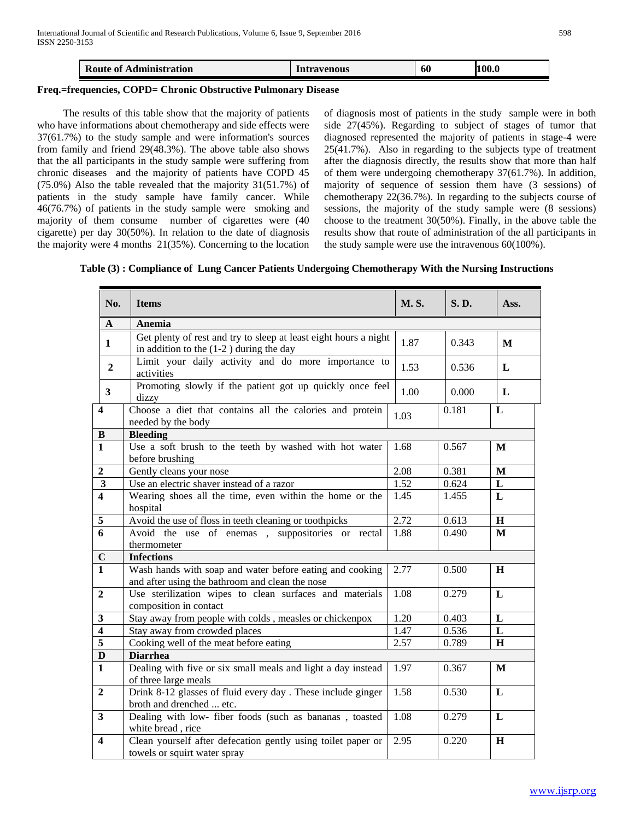|  | <b>Route of</b><br>Administration | <b>Intravenous</b> | 60 | 100.<br>100.0 |
|--|-----------------------------------|--------------------|----|---------------|
|--|-----------------------------------|--------------------|----|---------------|

#### **Freq.=frequencies, COPD= Chronic Obstructive Pulmonary Disease**

The results of this table show that the majority of patients who have informations about chemotherapy and side effects were 37(61.7%) to the study sample and were information's sources from family and friend 29(48.3%). The above table also shows that the all participants in the study sample were suffering from chronic diseases and the majority of patients have COPD 45 (75.0%) Also the table revealed that the majority 31(51.7%) of patients in the study sample have family cancer. While 46(76.7%) of patients in the study sample were smoking and majority of them consume number of cigarettes were (40 cigarette) per day 30(50%). In relation to the date of diagnosis the majority were 4 months 21(35%). Concerning to the location of diagnosis most of patients in the study sample were in both side 27(45%). Regarding to subject of stages of tumor that diagnosed represented the majority of patients in stage-4 were 25(41.7%). Also in regarding to the subjects type of treatment after the diagnosis directly, the results show that more than half of them were undergoing chemotherapy 37(61.7%). In addition, majority of sequence of session them have (3 sessions) of chemotherapy 22(36.7%). In regarding to the subjects course of sessions, the majority of the study sample were (8 sessions) choose to the treatment 30(50%). Finally, in the above table the results show that route of administration of the all participants in the study sample were use the intravenous 60(100%).

**Table (3) : Compliance of Lung Cancer Patients Undergoing Chemotherapy With the Nursing Instructions**

| No.                     | <b>Items</b>                                                                                                  | <b>M.S.</b> | <b>S.D.</b> | Ass.         |
|-------------------------|---------------------------------------------------------------------------------------------------------------|-------------|-------------|--------------|
| $\mathbf{A}$            | Anemia                                                                                                        |             |             |              |
| 1                       | Get plenty of rest and try to sleep at least eight hours a night<br>in addition to the $(1-2)$ during the day | 1.87        | 0.343       | M            |
| $\overline{2}$          | Limit your daily activity and do more importance to<br>activities                                             | 1.53        | 0.536       | L            |
| $\mathbf{3}$            | Promoting slowly if the patient got up quickly once feel<br>dizzy                                             | 1.00        | 0.000       | L            |
| $\overline{\mathbf{4}}$ | Choose a diet that contains all the calories and protein<br>needed by the body                                | 1.03        | 0.181       | L            |
| $\bf{B}$                | <b>Bleeding</b>                                                                                               |             |             |              |
| $\mathbf{1}$            | Use a soft brush to the teeth by washed with hot water<br>before brushing                                     | 1.68        | 0.567       | M            |
| $\boldsymbol{2}$        | Gently cleans your nose                                                                                       | 2.08        | 0.381       | $\mathbf M$  |
| $\mathbf{3}$            | Use an electric shaver instead of a razor                                                                     | 1.52        | 0.624       | L            |
| $\overline{\mathbf{4}}$ | Wearing shoes all the time, even within the home or the<br>hospital                                           | 1.45        | 1.455       | L            |
| 5                       | Avoid the use of floss in teeth cleaning or toothpicks                                                        | 2.72        | 0.613       | $\mathbf H$  |
| $\overline{6}$          | Avoid the use of enemas, suppositories or rectal<br>thermometer                                               | 1.88        | 0.490       | $\mathbf{M}$ |
| $\mathbf C$             | <b>Infections</b>                                                                                             |             |             |              |
| $\overline{1}$          | Wash hands with soap and water before eating and cooking<br>and after using the bathroom and clean the nose   | 2.77        | 0.500       | H            |
| $\overline{2}$          | Use sterilization wipes to clean surfaces and materials<br>composition in contact                             | 1.08        | 0.279       | L            |
| $\mathbf{3}$            | Stay away from people with colds, measles or chickenpox                                                       | 1.20        | 0.403       | L            |
| $\overline{\mathbf{4}}$ | Stay away from crowded places                                                                                 | 1.47        | 0.536       | L            |
| $\overline{\mathbf{5}}$ | Cooking well of the meat before eating                                                                        | 2.57        | 0.789       | H            |
| $\mathbf D$             | <b>Diarrhea</b>                                                                                               |             |             |              |
| $\overline{\mathbf{1}}$ | Dealing with five or six small meals and light a day instead<br>of three large meals                          | 1.97        | 0.367       | $\mathbf{M}$ |
| $\overline{2}$          | Drink 8-12 glasses of fluid every day. These include ginger<br>broth and drenched  etc.                       | 1.58        | 0.530       | $\mathbf{L}$ |
| $\overline{\mathbf{3}}$ | Dealing with low- fiber foods (such as bananas, toasted<br>white bread, rice                                  | 1.08        | 0.279       | $\mathbf{L}$ |
| $\overline{\mathbf{4}}$ | Clean yourself after defecation gently using toilet paper or<br>towels or squirt water spray                  | 2.95        | 0.220       | $\mathbf H$  |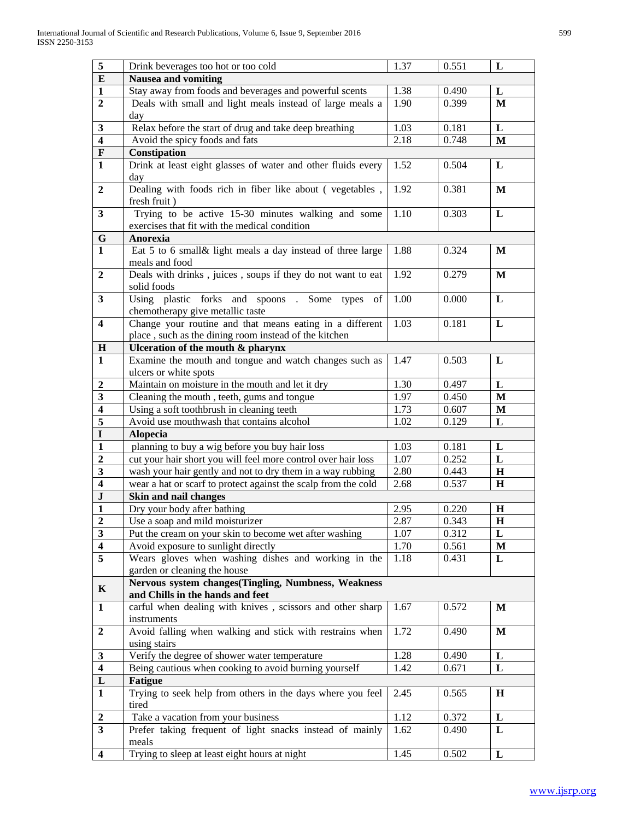| $\sqrt{5}$                     | Drink beverages too hot or too cold                                                                                         | 1.37         | 0.551          | L                |  |  |
|--------------------------------|-----------------------------------------------------------------------------------------------------------------------------|--------------|----------------|------------------|--|--|
| $\bf{E}$                       | <b>Nausea and vomiting</b>                                                                                                  |              |                |                  |  |  |
| $\mathbf{1}$                   | Stay away from foods and beverages and powerful scents                                                                      | 1.38         | 0.490          | L                |  |  |
| $\boldsymbol{2}$               | Deals with small and light meals instead of large meals a                                                                   | 1.90         | 0.399          | M                |  |  |
|                                | day                                                                                                                         |              |                |                  |  |  |
| $\mathbf{3}$                   | Relax before the start of drug and take deep breathing                                                                      | 1.03         | 0.181          | L                |  |  |
| $\overline{\mathbf{4}}$        | Avoid the spicy foods and fats                                                                                              | 2.18         | 0.748          | M                |  |  |
| $\mathbf F$                    | Constipation                                                                                                                |              |                |                  |  |  |
| $\mathbf{1}$                   | Drink at least eight glasses of water and other fluids every                                                                | 1.52         | 0.504          | L                |  |  |
|                                | day                                                                                                                         |              |                |                  |  |  |
| $\boldsymbol{2}$               | Dealing with foods rich in fiber like about (vegetables,<br>fresh fruit)                                                    | 1.92         | 0.381          | $\mathbf{M}$     |  |  |
| $\mathbf{3}$                   | Trying to be active 15-30 minutes walking and some                                                                          | 1.10         | 0.303          | $\mathbf L$      |  |  |
|                                | exercises that fit with the medical condition                                                                               |              |                |                  |  |  |
| ${\bf G}$                      | Anorexia                                                                                                                    |              |                |                  |  |  |
| $\overline{1}$                 | Eat 5 to 6 small& light meals a day instead of three large                                                                  | 1.88         | 0.324          | M                |  |  |
|                                | meals and food                                                                                                              |              |                |                  |  |  |
| $\overline{2}$                 | Deals with drinks, juices, soups if they do not want to eat                                                                 | 1.92         | 0.279          | $\mathbf{M}$     |  |  |
|                                | solid foods                                                                                                                 |              |                |                  |  |  |
| $\overline{\mathbf{3}}$        | Using plastic forks and spoons . Some types<br>of                                                                           | 1.00         | 0.000          | L                |  |  |
|                                | chemotherapy give metallic taste                                                                                            |              |                |                  |  |  |
| $\overline{\mathbf{4}}$        | Change your routine and that means eating in a different                                                                    | 1.03         | 0.181          | L                |  |  |
|                                | place, such as the dining room instead of the kitchen                                                                       |              |                |                  |  |  |
| H                              | Ulceration of the mouth & pharynx                                                                                           |              |                |                  |  |  |
| $\mathbf{1}$                   | Examine the mouth and tongue and watch changes such as                                                                      | 1.47         | 0.503          | L                |  |  |
|                                | ulcers or white spots                                                                                                       |              |                |                  |  |  |
| $\overline{2}$                 | Maintain on moisture in the mouth and let it dry                                                                            | 1.30         | 0.497          | $\mathbf L$      |  |  |
| $\mathbf{3}$                   | Cleaning the mouth, teeth, gums and tongue                                                                                  | 1.97         | 0.450          | $\mathbf M$      |  |  |
| $\overline{\mathbf{4}}$        | Using a soft toothbrush in cleaning teeth                                                                                   | 1.73         | 0.607          | $\mathbf{M}$     |  |  |
| 5                              | Avoid use mouthwash that contains alcohol                                                                                   | 1.02         | 0.129          | $\mathbf L$      |  |  |
| $\mathbf I$                    | <b>Alopecia</b>                                                                                                             |              |                |                  |  |  |
| $\mathbf{1}$<br>$\overline{2}$ | planning to buy a wig before you buy hair loss                                                                              | 1.03<br>1.07 | 0.181<br>0.252 | L                |  |  |
| $\mathbf{3}$                   | cut your hair short you will feel more control over hair loss<br>wash your hair gently and not to dry them in a way rubbing | 2.80         | 0.443          | L<br>$\mathbf H$ |  |  |
| $\overline{\mathbf{4}}$        | wear a hat or scarf to protect against the scalp from the cold                                                              | 2.68         | 0.537          | H                |  |  |
| $\bf J$                        | Skin and nail changes                                                                                                       |              |                |                  |  |  |
| $\mathbf{1}$                   | Dry your body after bathing                                                                                                 | 2.95         | 0.220          | $\mathbf H$      |  |  |
| $\overline{2}$                 | Use a soap and mild moisturizer                                                                                             | 2.87         | 0.343          | $\bf H$          |  |  |
| $\mathbf{3}$                   | Put the cream on your skin to become wet after washing                                                                      | 1.07         | 0.312          | L                |  |  |
| $\overline{\mathbf{4}}$        | Avoid exposure to sunlight directly                                                                                         | 1.70         | 0.561          | M                |  |  |
| 5                              | Wears gloves when washing dishes and working in the                                                                         | 1.18         | 0.431          | L                |  |  |
|                                | garden or cleaning the house                                                                                                |              |                |                  |  |  |
|                                | Nervous system changes(Tingling, Numbness, Weakness                                                                         |              |                |                  |  |  |
| $\mathbf K$                    | and Chills in the hands and feet                                                                                            |              |                |                  |  |  |
| $\mathbf{1}$                   | carful when dealing with knives, scissors and other sharp                                                                   | 1.67         | 0.572          | M                |  |  |
|                                | instruments                                                                                                                 |              |                |                  |  |  |
| $\mathbf{2}$                   | Avoid falling when walking and stick with restrains when<br>using stairs                                                    | 1.72         | 0.490          | M                |  |  |
| $\mathbf{3}$                   | Verify the degree of shower water temperature                                                                               | 1.28         | 0.490          | L                |  |  |
| $\overline{\mathbf{4}}$        | Being cautious when cooking to avoid burning yourself                                                                       | 1.42         | 0.671          | L                |  |  |
| ${\bf L}$                      | <b>Fatigue</b>                                                                                                              |              |                |                  |  |  |
| $\mathbf{1}$                   | Trying to seek help from others in the days where you feel                                                                  | 2.45         | 0.565          | $\bf H$          |  |  |
|                                | tired                                                                                                                       |              |                |                  |  |  |
| $\boldsymbol{2}$               | Take a vacation from your business                                                                                          | 1.12         | 0.372          | L                |  |  |
| $\overline{\mathbf{3}}$        | Prefer taking frequent of light snacks instead of mainly                                                                    | 1.62         | 0.490          | L                |  |  |
|                                | meals                                                                                                                       |              |                |                  |  |  |
| $\overline{\mathbf{4}}$        | Trying to sleep at least eight hours at night                                                                               | 1.45         | 0.502          | L                |  |  |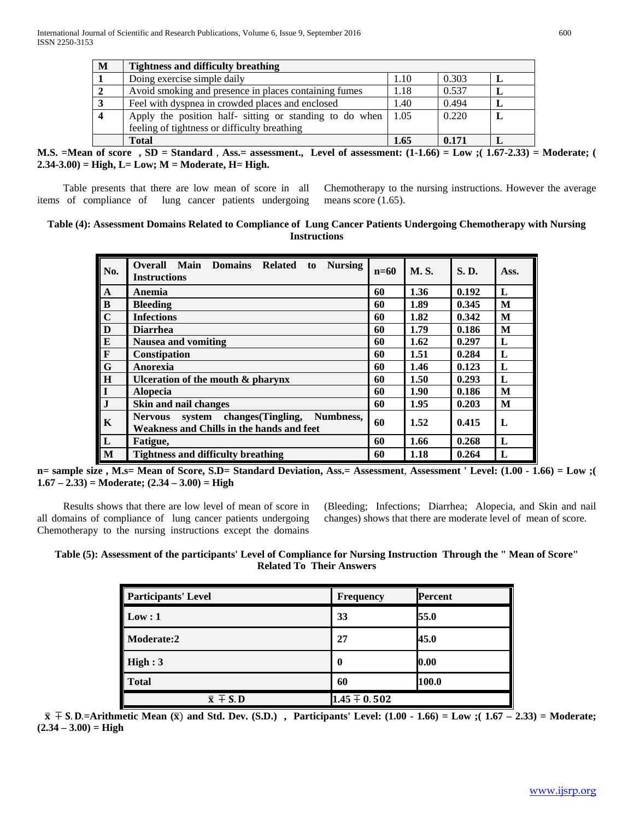| $\mathbf{M}$ | <b>Tightness and difficulty breathing</b>               |      |       |   |
|--------------|---------------------------------------------------------|------|-------|---|
|              | Doing exercise simple daily                             | 1.10 | 0.303 | L |
|              | Avoid smoking and presence in places containing fumes   | 1.18 | 0.537 |   |
|              | Feel with dyspnea in crowded places and enclosed        | 1.40 | 0.494 |   |
|              | Apply the position half- sitting or standing to do when | 1.05 | 0.220 |   |
|              | feeling of tightness or difficulty breathing            |      |       |   |
|              | <b>Total</b>                                            | 1.65 | 0.171 |   |

**M.S. =Mean of score , SD = Standard** , **Ass.= assessment., Level of assessment: (1-1.66) = Low ;( 1.67-2.33) = Moderate; ( 2.34-3.00) = High, L= Low; M = Moderate, H= High.** 

Table presents that there are low mean of score in all items of compliance of lung cancer patients undergoing Chemotherapy to the nursing instructions. However the average means score  $(1.65)$ .

### **Table (4): Assessment Domains Related to Compliance of Lung Cancer Patients Undergoing Chemotherapy with Nursing Instructions**

| No.                                  | Main<br><b>Overall</b><br><b>Domains</b><br><b>Related</b><br><b>Nursing</b><br>to<br><b>Instructions</b> | $n=60$ | <b>M.S.</b> | <b>S.D.</b> | Ass. |
|--------------------------------------|-----------------------------------------------------------------------------------------------------------|--------|-------------|-------------|------|
| $\mathbf{A}$                         | Anemia                                                                                                    | 60     | 1.36        | 0.192       | L    |
| B<br>C<br>D<br>E<br>F<br>G<br>I<br>I | <b>Bleeding</b>                                                                                           | 60     | 1.89        | 0.345       | M    |
|                                      | <b>Infections</b>                                                                                         | 60     | 1.82        | 0.342       | M    |
|                                      | <b>Diarrhea</b>                                                                                           | 60     | 1.79        | 0.186       | M    |
|                                      | Nausea and vomiting                                                                                       | 60     | 1.62        | 0.297       | L    |
|                                      | Constipation                                                                                              | 60     | 1.51        | 0.284       | L    |
|                                      | Anorexia                                                                                                  | 60     | 1.46        | 0.123       | L    |
|                                      | Ulceration of the mouth $\&$ pharynx                                                                      | 60     | 1.50        | 0.293       | L    |
|                                      | <b>Alopecia</b>                                                                                           | 60     | 1.90        | 0.186       | M    |
| $\overline{J}$                       | Skin and nail changes                                                                                     | 60     | 1.95        | 0.203       | M    |
| $\parallel$ K                        | system changes (Tingling,<br>Numbness,<br><b>Nervous</b><br>Weakness and Chills in the hands and feet     | 60     | 1.52        | 0.415       | L    |
| $\overline{\mathbf{L}}$              | Fatigue,                                                                                                  | 60     | 1.66        | 0.268       | L    |
| M                                    | <b>Tightness and difficulty breathing</b>                                                                 | 60     | 1.18        | 0.264       | L    |

**n= sample size , M.s= Mean of Score, S.D= Standard Deviation, Ass.= Assessment**, **Assessment ' Level: (1.00 - 1.66) = Low ;( 1.67 – 2.33) = Moderate; (2.34 – 3.00) = High**

Results shows that there are low level of mean of score in all domains of compliance of lung cancer patients undergoing Chemotherapy to the nursing instructions except the domains (Bleeding; Infections; Diarrhea; Alopecia, and Skin and nail changes) shows that there are moderate level of mean of score.

# **Table (5): Assessment of the participants' Level of Compliance for Nursing Instruction Through the " Mean of Score" Related To Their Answers**

| <b>Participants' Level</b> | <b>Frequency</b> | Percent |
|----------------------------|------------------|---------|
| Low:1                      | 33               | 55.0    |
| Moderate:2                 | 27               | 45.0    |
| High:3                     | 0                | 0.00    |
| <b>Total</b>               | 60               | 100.0   |
| $\bar{x} \mp S$ . D        | $1.45 \pm 0.502$ |         |

 $\bar{x} + S$ . D.=Arithmetic Mean ( $\bar{x}$ ) and Std. Dev. (S.D.), Participants' Level: (1.00 - 1.66) = Low ;(1.67 – 2.33) = Moderate;  $(2.34 - 3.00) = High$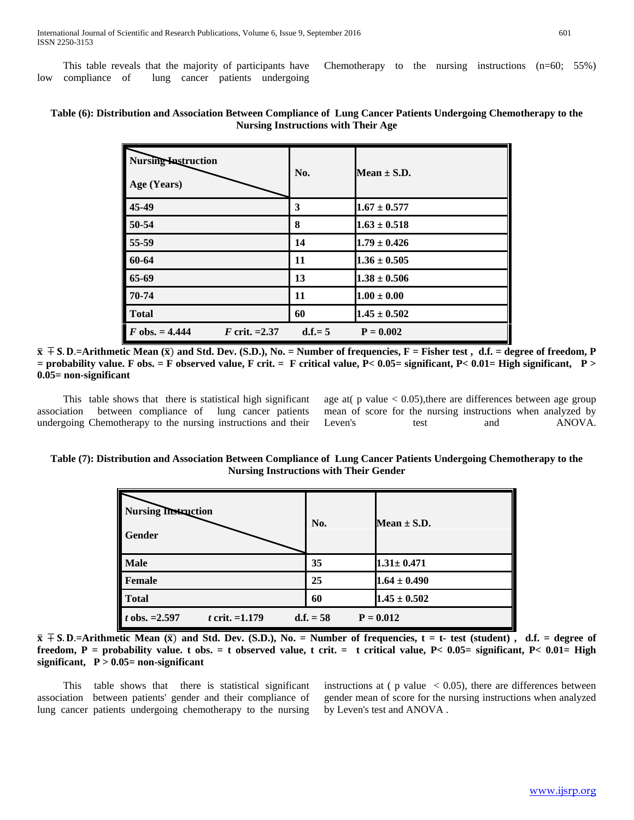This table reveals that the majority of participants have low compliance of lung cancer patients undergoing

Chemotherapy to the nursing instructions (n=60; 55%)

| <b>Nursing Instruction</b><br>Age (Years) | No.      | Mean $\pm$ S.D.  |
|-------------------------------------------|----------|------------------|
| 45-49                                     | 3        | $1.67 \pm 0.577$ |
| 50-54                                     | 8        | $1.63 \pm 0.518$ |
| 55-59                                     | 14       | $1.79 \pm 0.426$ |
| 60-64                                     | 11       | $1.36 \pm 0.505$ |
| 65-69                                     | 13       | $1.38 \pm 0.506$ |
| 70-74                                     | 11       | $1.00 \pm 0.00$  |
| <b>Total</b>                              | 60       | $1.45 \pm 0.502$ |
| $F$ obs. = 4.444<br>F crit. $=2.37$       | $d.f.=5$ | $P = 0.002$      |

# **Table (6): Distribution and Association Between Compliance of Lung Cancer Patients Undergoing Chemotherapy to the Nursing Instructions with Their Age**

 $\bar{x}$  ∓ S. D.=Arithmetic Mean ( $\bar{x}$ ) and Std. Dev. (S.D.), No. = Number of frequencies, F = Fisher test, d.f. = degree of freedom, P **= probability value. F obs. = F observed value, F crit. = F critical value, P< 0.05= significant, P< 0.01= High significant, P > 0.05= non-significant** 

This table shows that there is statistical high significant association between compliance of lung cancer patients undergoing Chemotherapy to the nursing instructions and their age at( $p$  value  $< 0.05$ ), there are differences between age group mean of score for the nursing instructions when analyzed by Leven's test and ANOVA.

#### **Table (7): Distribution and Association Between Compliance of Lung Cancer Patients Undergoing Chemotherapy to the Nursing Instructions with Their Gender**

| <b>Nursing Instruction</b><br><b>Gender</b>                              | No. | Mean $\pm$ S.D.  |
|--------------------------------------------------------------------------|-----|------------------|
| <b>Male</b>                                                              | 35  | $1.31 \pm 0.471$ |
| <b>Female</b>                                                            | 25  | $1.64 \pm 0.490$ |
| <b>Total</b>                                                             | 60  | $1.45 \pm 0.502$ |
| t obs. $=2.597$<br><i>t</i> crit. $=1.179$<br>$d.f. = 58$<br>$P = 0.012$ |     |                  |

 $\bar{x}$  ∓ S. D.=Arithmetic Mean ( $\bar{x}$ ) and Std. Dev. (S.D.), No. = Number of frequencies, t = t- test (student), d.f. = degree of **freedom, P = probability value. t obs. = t observed value, t crit. = t critical value, P< 0.05= significant, P< 0.01= High significant, P > 0.05= non-significant** 

This table shows that there is statistical significant association between patients' gender and their compliance of lung cancer patients undergoing chemotherapy to the nursing instructions at ( $p$  value  $\langle 0.05 \rangle$ , there are differences between gender mean of score for the nursing instructions when analyzed by Leven's test and ANOVA .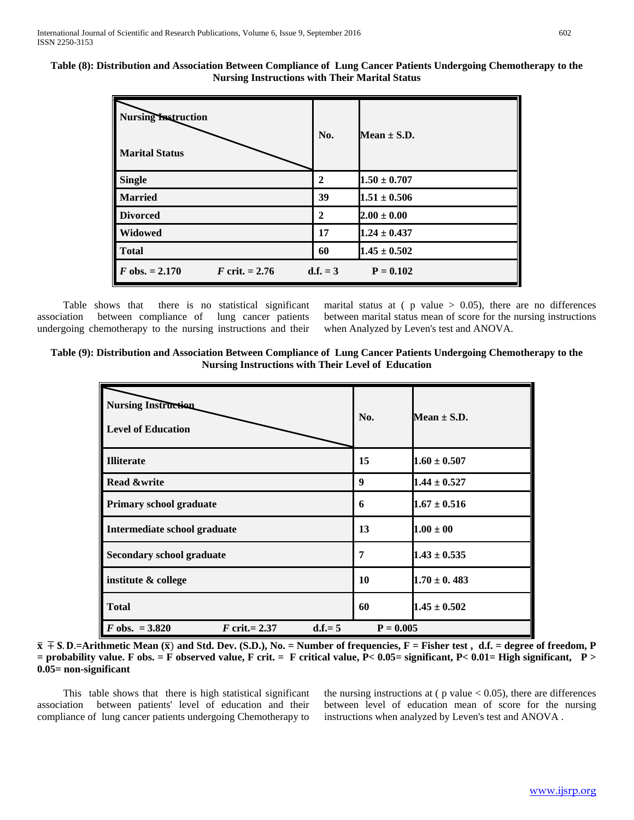**Table (8): Distribution and Association Between Compliance of Lung Cancer Patients Undergoing Chemotherapy to the Nursing Instructions with Their Marital Status**

| <b>Nursing Instruction</b>                  | No.            | Mean $\pm$ S.D.  |
|---------------------------------------------|----------------|------------------|
| <b>Marital Status</b>                       |                |                  |
| <b>Single</b>                               | $\mathbf{2}$   | $1.50 \pm 0.707$ |
| <b>Married</b>                              | 39             | $1.51 \pm 0.506$ |
| <b>Divorced</b>                             | $\overline{2}$ | $2.00 \pm 0.00$  |
| Widowed                                     | 17             | $1.24 \pm 0.437$ |
| <b>Total</b>                                | 60             | $1.45 \pm 0.502$ |
| $F$ obs. = 2.170<br><i>F</i> crit. $= 2.76$ | $d.f. = 3$     | $P = 0.102$      |

Table shows that there is no statistical significant association between compliance of lung cancer patients undergoing chemotherapy to the nursing instructions and their

marital status at ( $p$  value  $> 0.05$ ), there are no differences between marital status mean of score for the nursing instructions when Analyzed by Leven's test and ANOVA.

| Table (9): Distribution and Association Between Compliance of Lung Cancer Patients Undergoing Chemotherapy to the |
|-------------------------------------------------------------------------------------------------------------------|
| Nursing Instructions with Their Level of Education                                                                |

| <b>Nursing Instruction</b><br><b>Level of Education</b> | No.         | Mean $\pm$ S.D.  |
|---------------------------------------------------------|-------------|------------------|
| <b>Illiterate</b>                                       | 15          | $1.60 \pm 0.507$ |
| <b>Read &amp;write</b>                                  | 9           | $1.44 \pm 0.527$ |
| Primary school graduate                                 | 6           | $1.67 \pm 0.516$ |
| Intermediate school graduate                            | 13          | $1.00 \pm 00$    |
| <b>Secondary school graduate</b>                        | 7           | $1.43 \pm 0.535$ |
| institute & college                                     | 10          | $1.70 \pm 0.483$ |
| <b>Total</b>                                            | 60          | $1.45 \pm 0.502$ |
| $F$ obs. = 3.820<br>$F$ crit.= 2.37<br>$d.f = 5$        | $P = 0.005$ |                  |

 $\bar{x}$  ∓ S. D.=Arithmetic Mean ( $\bar{x}$ ) and Std. Dev. (S.D.), No. = Number of frequencies, F = Fisher test, d.f. = degree of freedom, P **= probability value. F obs. = F observed value, F crit. = F critical value, P< 0.05= significant, P< 0.01= High significant, P > 0.05= non-significant** 

This table shows that there is high statistical significant association between patients' level of education and their compliance of lung cancer patients undergoing Chemotherapy to

the nursing instructions at  $(p \text{ value} < 0.05)$ , there are differences between level of education mean of score for the nursing instructions when analyzed by Leven's test and ANOVA .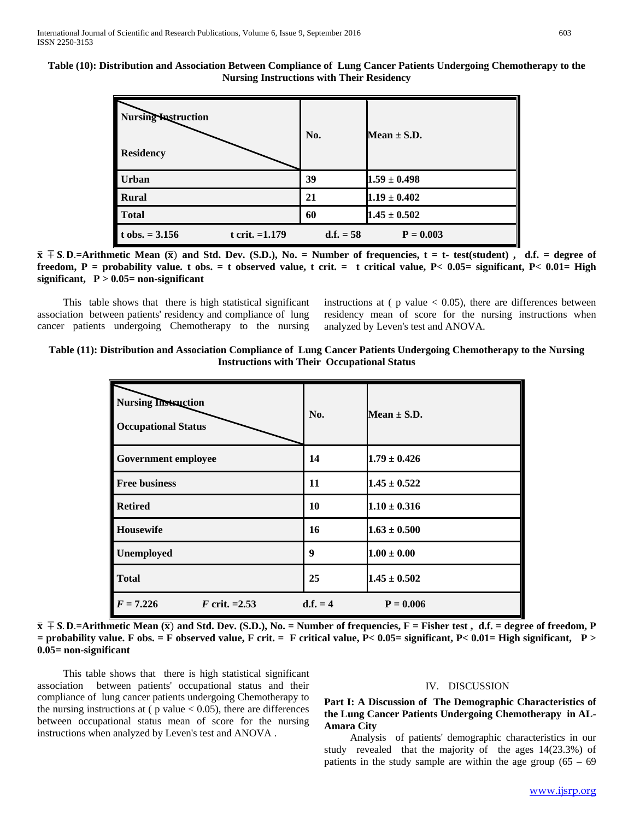**Table (10): Distribution and Association Between Compliance of Lung Cancer Patients Undergoing Chemotherapy to the Nursing Instructions with Their Residency**

| <b>Nursing Instruction</b><br><b>Residency</b> | No.         | Mean $\pm$ S.D.  |
|------------------------------------------------|-------------|------------------|
| <b>Urban</b>                                   | 39          | $1.59 \pm 0.498$ |
| <b>Rural</b>                                   | 21          | $1.19 \pm 0.402$ |
| <b>Total</b>                                   | 60          | $1.45 \pm 0.502$ |
| t obs. $= 3.156$<br>t crit. $=1.179$           | $d.f. = 58$ | $P = 0.003$      |

 $\bar{x}$  ∓ S. D.=Arithmetic Mean ( $\bar{x}$ ) and Std. Dev. (S.D.), No. = Number of frequencies, t = t- test(student) , d.f. = degree of **freedom, P = probability value. t obs. = t observed value, t crit. = t critical value, P< 0.05= significant, P< 0.01= High significant, P > 0.05= non-significant** 

This table shows that there is high statistical significant association between patients' residency and compliance of lung cancer patients undergoing Chemotherapy to the nursing instructions at ( $p$  value  $< 0.05$ ), there are differences between residency mean of score for the nursing instructions when analyzed by Leven's test and ANOVA.

| Table (11): Distribution and Association Compliance of Lung Cancer Patients Undergoing Chemotherapy to the Nursing |
|--------------------------------------------------------------------------------------------------------------------|
| <b>Instructions with Their Occupational Status</b>                                                                 |

| <b>Nursing Instruction</b><br><b>Occupational Status</b> | No.        | Mean $\pm$ S.D.  |
|----------------------------------------------------------|------------|------------------|
| <b>Government employee</b>                               | 14         | $1.79 \pm 0.426$ |
| <b>Free business</b>                                     | 11         | $1.45 \pm 0.522$ |
| <b>Retired</b>                                           | 10         | $1.10 \pm 0.316$ |
| <b>Housewife</b>                                         | 16         | $1.63 \pm 0.500$ |
| Unemployed                                               | 9          | $1.00 \pm 0.00$  |
| <b>Total</b>                                             | 25         | $1.45 \pm 0.502$ |
| $F = 7.226$<br><i>F</i> crit. = $2.53$                   | $d.f. = 4$ | $P = 0.006$      |

 $\bar{x}$  ∓ S. D.=Arithmetic Mean  $(\bar{x})$  and Std. Dev. (S.D.), No. = Number of frequencies, F = Fisher test, d.f. = degree of freedom, P **= probability value. F obs. = F observed value, F crit. = F critical value, P< 0.05= significant, P< 0.01= High significant, P > 0.05= non-significant** 

This table shows that there is high statistical significant association between patients' occupational status and their compliance of lung cancer patients undergoing Chemotherapy to the nursing instructions at ( $p$  value  $< 0.05$ ), there are differences between occupational status mean of score for the nursing instructions when analyzed by Leven's test and ANOVA .

#### IV. DISCUSSION

### **Part I: A Discussion of The Demographic Characteristics of the Lung Cancer Patients Undergoing Chemotherapy in AL-Amara City**

Analysis of patients' demographic characteristics in our study revealed that the majority of the ages 14(23.3%) of patients in the study sample are within the age group  $(65 - 69)$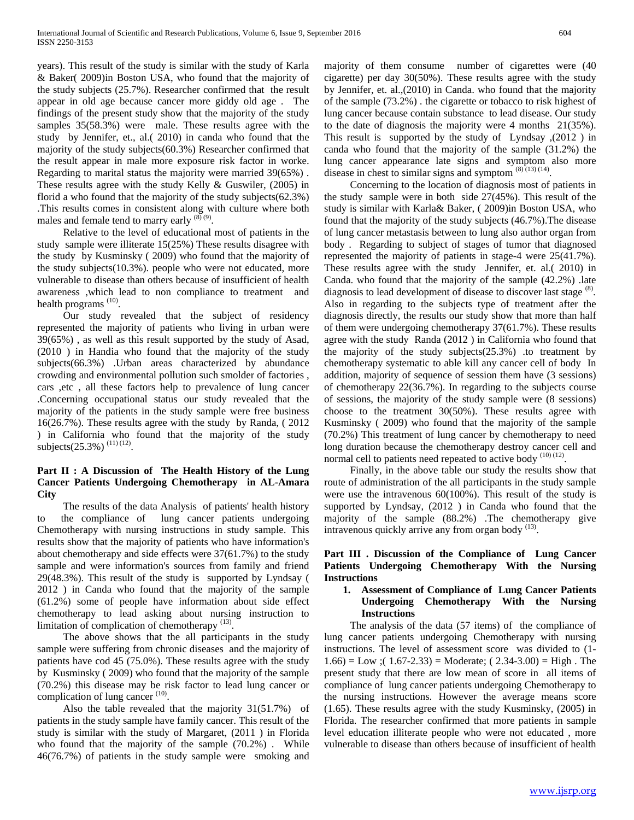years). This result of the study is similar with the study of Karla & Baker( 2009)in Boston USA, who found that the majority of the study subjects (25.7%). Researcher confirmed that the result appear in old age because cancer more giddy old age . The findings of the present study show that the majority of the study samples 35(58.3%) were male. These results agree with the study by Jennifer, et., al.( 2010) in canda who found that the majority of the study subjects(60.3%) Researcher confirmed that the result appear in male more exposure risk factor in worke. Regarding to marital status the majority were married 39(65%) . These results agree with the study Kelly & Guswiler, (2005) in florid a who found that the majority of the study subjects(62.3%) .This results comes in consistent along with culture where both males and female tend to marry early  $^{(8)(9)}$ .

Relative to the level of educational most of patients in the study sample were illiterate 15(25%) These results disagree with the study by Kusminsky ( 2009) who found that the majority of the study subjects(10.3%). people who were not educated, more vulnerable to disease than others because of insufficient of health awareness ,which lead to non compliance to treatment and health programs <sup>(10)</sup>.

Our study revealed that the subject of residency represented the majority of patients who living in urban were 39(65%) , as well as this result supported by the study of Asad, (2010 ) in Handia who found that the majority of the study subjects(66.3%) .Urban areas characterized by abundance crowding and environmental pollution such smolder of factories , cars ,etc , all these factors help to prevalence of lung cancer .Concerning occupational status our study revealed that the majority of the patients in the study sample were free business 16(26.7%). These results agree with the study by Randa, ( 2012 ) in California who found that the majority of the study subjects(25.3%)  $(11)(12)$ .

# **Part II : A Discussion of The Health History of the Lung Cancer Patients Undergoing Chemotherapy in AL-Amara City**

The results of the data Analysis of patients' health history to the compliance of lung cancer patients undergoing Chemotherapy with nursing instructions in study sample. This results show that the majority of patients who have information's about chemotherapy and side effects were 37(61.7%) to the study sample and were information's sources from family and friend 29(48.3%). This result of the study is supported by Lyndsay ( 2012 ) in Canda who found that the majority of the sample (61.2%) some of people have information about side effect chemotherapy to lead asking about nursing instruction to limitation of complication of chemotherapy (13).

The above shows that the all participants in the study sample were suffering from chronic diseases and the majority of patients have cod 45 (75.0%). These results agree with the study by Kusminsky ( 2009) who found that the majority of the sample (70.2%) this disease may be risk factor to lead lung cancer or complication of lung cancer  $(10)$ .

Also the table revealed that the majority 31(51.7%) of patients in the study sample have family cancer. This result of the study is similar with the study of Margaret, (2011 ) in Florida who found that the majority of the sample (70.2%) . While 46(76.7%) of patients in the study sample were smoking and

majority of them consume number of cigarettes were (40 cigarette) per day 30(50%). These results agree with the study by Jennifer, et. al.,(2010) in Canda. who found that the majority of the sample (73.2%) . the cigarette or tobacco to risk highest of lung cancer because contain substance to lead disease. Our study to the date of diagnosis the majority were 4 months 21(35%). This result is supported by the study of Lyndsay ,(2012 ) in canda who found that the majority of the sample (31.2%) the lung cancer appearance late signs and symptom also more disease in chest to similar signs and symptom  $(8)$ <sup>(13)</sup> $(14)$ .

Concerning to the location of diagnosis most of patients in the study sample were in both side 27(45%). This result of the study is similar with Karla& Baker, ( 2009)in Boston USA, who found that the majority of the study subjects (46.7%).The disease of lung cancer metastasis between to lung also author organ from body . Regarding to subject of stages of tumor that diagnosed represented the majority of patients in stage-4 were 25(41.7%). These results agree with the study Jennifer, et. al.( 2010) in Canda. who found that the majority of the sample (42.2%) .late diagnosis to lead development of disease to discover last stage  $(8)$ . Also in regarding to the subjects type of treatment after the diagnosis directly, the results our study show that more than half of them were undergoing chemotherapy 37(61.7%). These results agree with the study Randa (2012 ) in California who found that the majority of the study subjects(25.3%) .to treatment by chemotherapy systematic to able kill any cancer cell of body In addition, majority of sequence of session them have (3 sessions) of chemotherapy 22(36.7%). In regarding to the subjects course of sessions, the majority of the study sample were (8 sessions) choose to the treatment 30(50%). These results agree with Kusminsky ( 2009) who found that the majority of the sample (70.2%) This treatment of lung cancer by chemotherapy to need long duration because the chemotherapy destroy cancer cell and normal cell to patients need repeated to active body  $(10)(12)$ .

Finally, in the above table our study the results show that route of administration of the all participants in the study sample were use the intravenous 60(100%). This result of the study is supported by Lyndsay, (2012 ) in Canda who found that the majority of the sample (88.2%) .The chemotherapy give intravenous quickly arrive any from organ body  $(13)$ .

#### **Part III . Discussion of the Compliance of Lung Cancer Patients Undergoing Chemotherapy With the Nursing Instructions**

#### **1. Assessment of Compliance of Lung Cancer Patients Undergoing Chemotherapy With the Nursing Instructions**

The analysis of the data (57 items) of the compliance of lung cancer patients undergoing Chemotherapy with nursing instructions. The level of assessment score was divided to (1-  $1.66$ ) = Low ;(  $1.67$ -2.33) = Moderate; (  $2.34$ -3.00) = High. The present study that there are low mean of score in all items of compliance of lung cancer patients undergoing Chemotherapy to the nursing instructions. However the average means score (1.65). These results agree with the study Kusminsky, (2005) in Florida. The researcher confirmed that more patients in sample level education illiterate people who were not educated , more vulnerable to disease than others because of insufficient of health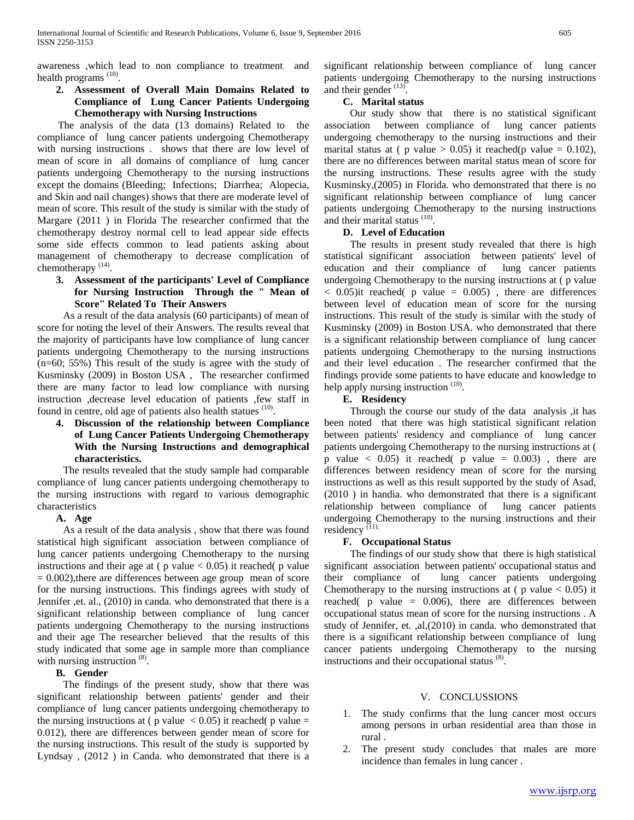awareness ,which lead to non compliance to treatment and health programs<sup>(10)</sup>.

# **2. Assessment of Overall Main Domains Related to Compliance of Lung Cancer Patients Undergoing Chemotherapy with Nursing Instructions**

 The analysis of the data (13 domains) Related to the compliance of lung cancer patients undergoing Chemotherapy with nursing instructions . shows that there are low level of mean of score in all domains of compliance of lung cancer patients undergoing Chemotherapy to the nursing instructions except the domains (Bleeding; Infections; Diarrhea; Alopecia, and Skin and nail changes) shows that there are moderate level of mean of score. This result of the study is similar with the study of Margare (2011 ) in Florida The researcher confirmed that the chemotherapy destroy normal cell to lead appear side effects some side effects common to lead patients asking about management of chemotherapy to decrease complication of chemotherapy<sup>(14)</sup>.

## **3. Assessment of the participants' Level of Compliance for Nursing Instruction Through the " Mean of Score" Related To Their Answers**

As a result of the data analysis (60 participants) of mean of score for noting the level of their Answers. The results reveal that the majority of participants have low compliance of lung cancer patients undergoing Chemotherapy to the nursing instructions (n=60; 55%) This result of the study is agree with the study of Kusminsky (2009) in Boston USA , The researcher confirmed there are many factor to lead low compliance with nursing instruction ,decrease level education of patients ,few staff in found in centre, old age of patients also health statues <sup>(10)</sup>.

# **4. Discussion of the relationship between Compliance of Lung Cancer Patients Undergoing Chemotherapy With the Nursing Instructions and demographical characteristics.**

The results revealed that the study sample had comparable compliance of lung cancer patients undergoing chemotherapy to the nursing instructions with regard to various demographic characteristics

#### **A. Age**

As a result of the data analysis , show that there was found statistical high significant association between compliance of lung cancer patients undergoing Chemotherapy to the nursing instructions and their age at ( $p$  value  $< 0.05$ ) it reached( $p$  value  $= 0.002$ ), there are differences between age group mean of score for the nursing instructions. This findings agrees with study of Jennifer ,et. al., (2010) in canda. who demonstrated that there is a significant relationship between compliance of lung cancer patients undergoing Chemotherapy to the nursing instructions and their age The researcher believed that the results of this study indicated that some age in sample more than compliance with nursing instruction <sup>(8)</sup>.

#### **B. Gender**

The findings of the present study, show that there was significant relationship between patients' gender and their compliance of lung cancer patients undergoing chemotherapy to the nursing instructions at ( $p$  value  $\lt$  0.05) it reached( $p$  value  $=$ 0.012), there are differences between gender mean of score for the nursing instructions. This result of the study is supported by Lyndsay , (2012 ) in Canda. who demonstrated that there is a significant relationship between compliance of lung cancer patients undergoing Chemotherapy to the nursing instructions and their gender <sup>(13)</sup>.

# **C. Marital status**

Our study show that there is no statistical significant association between compliance of lung cancer patients undergoing chemotherapy to the nursing instructions and their marital status at ( p value  $> 0.05$ ) it reached(p value = 0.102), there are no differences between marital status mean of score for the nursing instructions. These results agree with the study Kusminsky,(2005) in Florida. who demonstrated that there is no significant relationship between compliance of lung cancer patients undergoing Chemotherapy to the nursing instructions and their marital status<sup>(10)</sup>.

#### **D. Level of Education**

The results in present study revealed that there is high statistical significant association between patients' level of education and their compliance of lung cancer patients undergoing Chemotherapy to the nursing instructions at ( p value  $< 0.05$ ) it reached (p value = 0.005), there are differences between level of education mean of score for the nursing instructions. This result of the study is similar with the study of Kusminsky (2009) in Boston USA. who demonstrated that there is a significant relationship between compliance of lung cancer patients undergoing Chemotherapy to the nursing instructions and their level education . The researcher confirmed that the findings provide some patients to have educate and knowledge to help apply nursing instruction<sup>(10)</sup>.

# **E. Residency**

Through the course our study of the data analysis ,it has been noted that there was high statistical significant relation between patients' residency and compliance of lung cancer patients undergoing Chemotherapy to the nursing instructions at ( p value  $\langle 0.05 \rangle$  it reached( p value = 0.003), there are differences between residency mean of score for the nursing instructions as well as this result supported by the study of Asad, (2010 ) in handia. who demonstrated that there is a significant relationship between compliance of lung cancer patients undergoing Chemotherapy to the nursing instructions and their residency<sup>(11)</sup>

# **F. Occupational Status**

The findings of our study show that there is high statistical significant association between patients' occupational status and their compliance of lung cancer patients undergoing Chemotherapy to the nursing instructions at ( $p$  value  $< 0.05$ ) it reached( $p$  value = 0.006), there are differences between occupational status mean of score for the nursing instructions . A study of Jennifer, et. ,al,(2010) in canda. who demonstrated that there is a significant relationship between compliance of lung cancer patients undergoing Chemotherapy to the nursing instructions and their occupational status<sup>(8)</sup>.

#### V. CONCLUSSIONS

- 1. The study confirms that the lung cancer most occurs among persons in urban residential area than those in rural .
- 2. The present study concludes that males are more incidence than females in lung cancer .